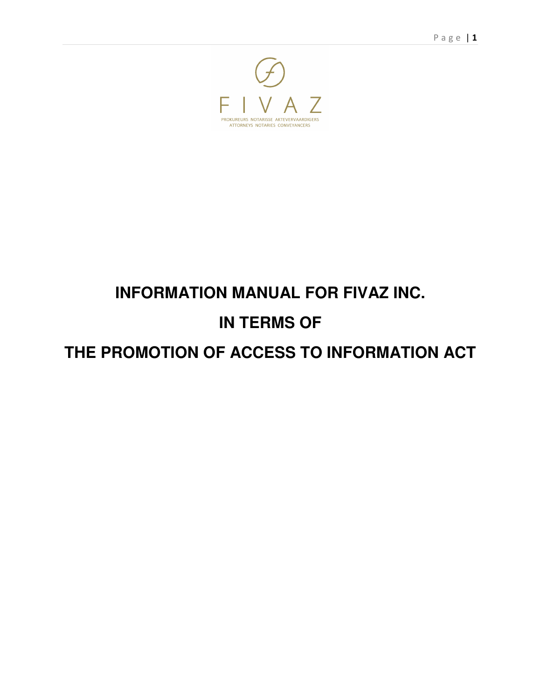

## **INFORMATION MANUAL FOR FIVAZ INC.**

# **IN TERMS OF**

## **THE PROMOTION OF ACCESS TO INFORMATION ACT**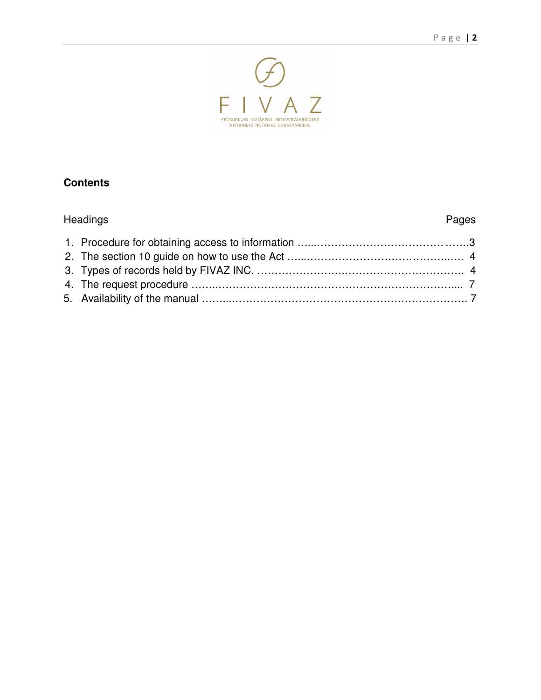

## **Contents**

## Headings **Pages** Pages 1. Procedure for obtaining access to information …...……………………………… …….3 2. The section 10 guide on how to use the Act …...…………………………………..…. 4 3. Types of records held by FIVAZ INC. …………………….……………………………. 4 4. The request procedure ……..………………………………………………………….... 7 5. Availability of the manual ……...…………………………………………………………. 7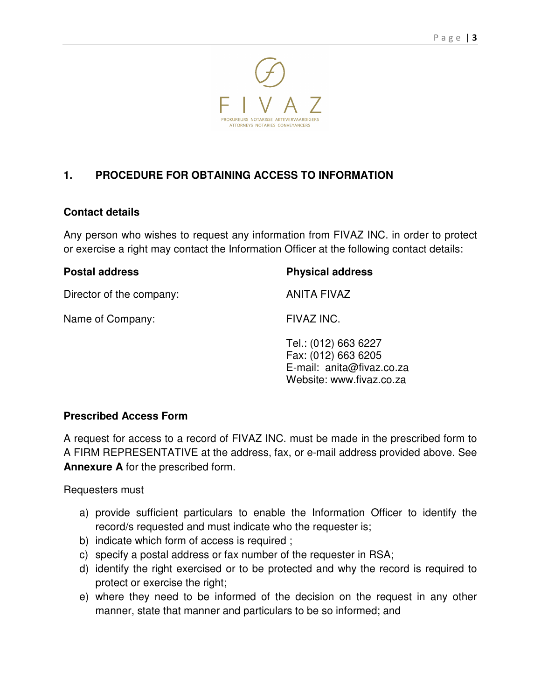

## **1. PROCEDURE FOR OBTAINING ACCESS TO INFORMATION**

#### **Contact details**

Any person who wishes to request any information from FIVAZ INC. in order to protect or exercise a right may contact the Information Officer at the following contact details:

| <b>Postal address</b>    | <b>Physical address</b>                                                                              |
|--------------------------|------------------------------------------------------------------------------------------------------|
| Director of the company: | <b>ANITA FIVAZ</b>                                                                                   |
| Name of Company:         | FIVAZ INC.                                                                                           |
|                          | Tel.: (012) 663 6227<br>Fax: (012) 663 6205<br>E-mail: anita@fivaz.co.za<br>Website: www.fivaz.co.za |

#### **Prescribed Access Form**

A request for access to a record of FIVAZ INC. must be made in the prescribed form to A FIRM REPRESENTATIVE at the address, fax, or e-mail address provided above. See **Annexure A** for the prescribed form.

Requesters must

- a) provide sufficient particulars to enable the Information Officer to identify the record/s requested and must indicate who the requester is;
- b) indicate which form of access is required ;
- c) specify a postal address or fax number of the requester in RSA;
- d) identify the right exercised or to be protected and why the record is required to protect or exercise the right;
- e) where they need to be informed of the decision on the request in any other manner, state that manner and particulars to be so informed; and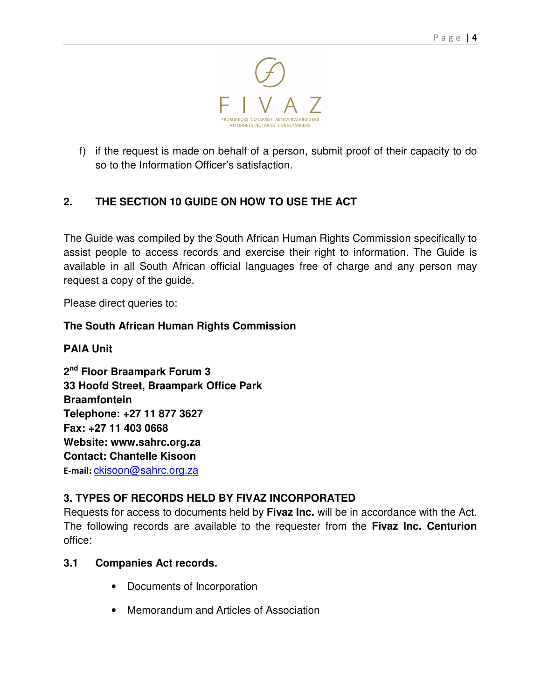

f) if the request is made on behalf of a person, submit proof of their capacity to do so to the Information Officer's satisfaction.

## **2. THE SECTION 10 GUIDE ON HOW TO USE THE ACT**

The Guide was compiled by the South African Human Rights Commission specifically to assist people to access records and exercise their right to information. The Guide is available in all South African official languages free of charge and any person may request a copy of the guide.

Please direct queries to:

#### **The South African Human Rights Commission**

#### **PAIA Unit**

**2 nd Floor Braampark Forum 3 33 Hoofd Street, Braampark Office Park Braamfontein Telephone: +27 11 877 3627 Fax: +27 11 403 0668 Website: www.sahrc.org.za Contact: Chantelle Kisoon**  E-mail: ckisoon@sahrc.org.za

## **3. TYPES OF RECORDS HELD BY FIVAZ INCORPORATED**

Requests for access to documents held by **Fivaz Inc.** will be in accordance with the Act. The following records are available to the requester from the **Fivaz Inc. Centurion** office:

#### **3.1 Companies Act records.**

- Documents of Incorporation
- Memorandum and Articles of Association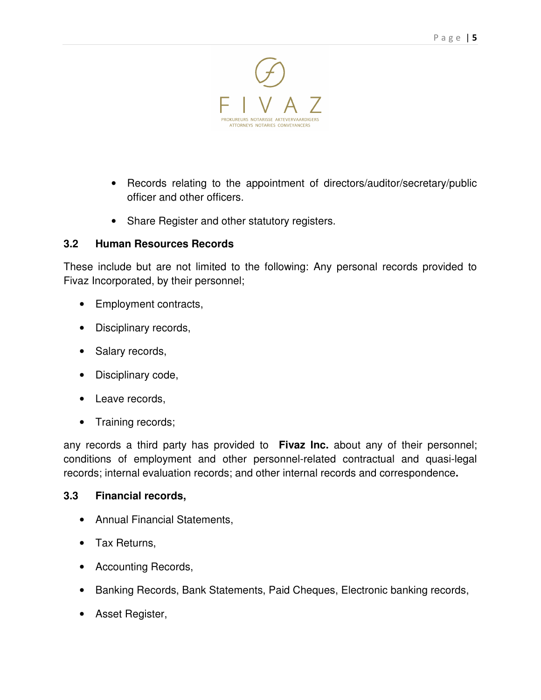

- Records relating to the appointment of directors/auditor/secretary/public officer and other officers.
- Share Register and other statutory registers.

## **3.2 Human Resources Records**

These include but are not limited to the following: Any personal records provided to Fivaz Incorporated, by their personnel;

- Employment contracts,
- Disciplinary records,
- Salary records,
- Disciplinary code,
- Leave records,
- Training records;

any records a third party has provided to **Fivaz Inc.** about any of their personnel; conditions of employment and other personnel-related contractual and quasi-legal records; internal evaluation records; and other internal records and correspondence**.** 

## **3.3 Financial records,**

- Annual Financial Statements,
- Tax Returns,
- Accounting Records,
- Banking Records, Bank Statements, Paid Cheques, Electronic banking records,
- Asset Register,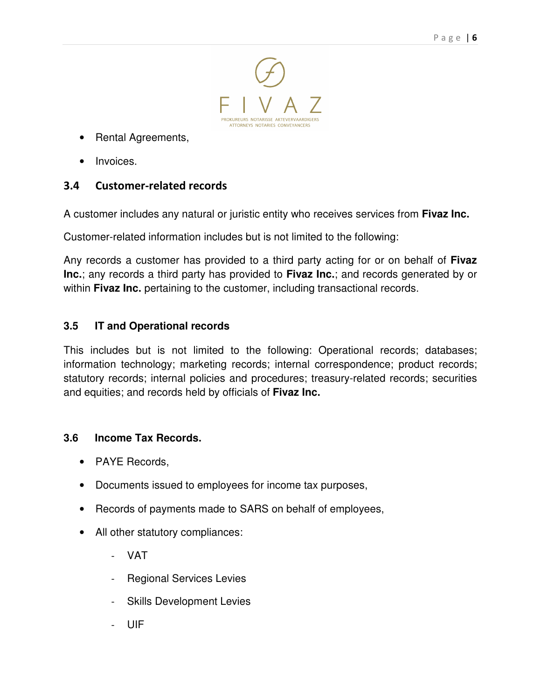

- Rental Agreements,
- Invoices.

## 3.4 Customer-related records

A customer includes any natural or juristic entity who receives services from **Fivaz Inc.**

Customer-related information includes but is not limited to the following:

Any records a customer has provided to a third party acting for or on behalf of **Fivaz Inc.**; any records a third party has provided to **Fivaz Inc.**; and records generated by or within **Fivaz Inc.** pertaining to the customer, including transactional records.

## **3.5 IT and Operational records**

This includes but is not limited to the following: Operational records; databases; information technology; marketing records; internal correspondence; product records; statutory records; internal policies and procedures; treasury-related records; securities and equities; and records held by officials of **Fivaz Inc.**

#### **3.6 Income Tax Records.**

- PAYE Records,
- Documents issued to employees for income tax purposes,
- Records of payments made to SARS on behalf of employees,
- All other statutory compliances:
	- VAT
	- **Regional Services Levies**
	- **Skills Development Levies**
	- UIF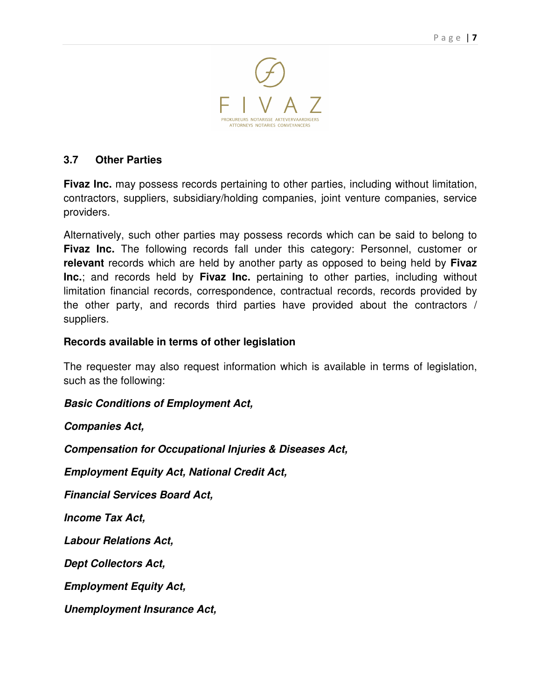

#### **3.7 Other Parties**

**Fivaz Inc.** may possess records pertaining to other parties, including without limitation, contractors, suppliers, subsidiary/holding companies, joint venture companies, service providers.

Alternatively, such other parties may possess records which can be said to belong to **Fivaz Inc.** The following records fall under this category: Personnel, customer or **relevant** records which are held by another party as opposed to being held by **Fivaz Inc.**; and records held by **Fivaz Inc.** pertaining to other parties, including without limitation financial records, correspondence, contractual records, records provided by the other party, and records third parties have provided about the contractors / suppliers.

#### **Records available in terms of other legislation**

The requester may also request information which is available in terms of legislation, such as the following:

#### **Basic Conditions of Employment Act,**

**Companies Act,** 

**Compensation for Occupational Injuries & Diseases Act,** 

**Employment Equity Act, National Credit Act,** 

**Financial Services Board Act,** 

**Income Tax Act,** 

**Labour Relations Act,** 

**Dept Collectors Act,** 

**Employment Equity Act,** 

**Unemployment Insurance Act,**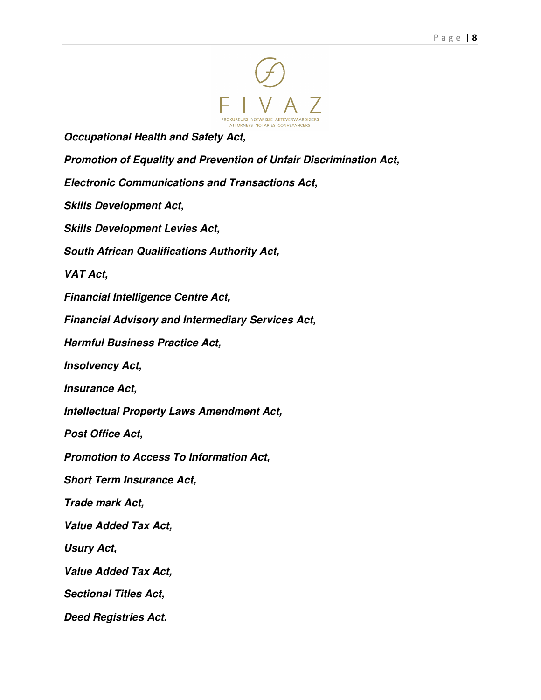

| <b>Occupational Health and Safety Act,</b>                         |
|--------------------------------------------------------------------|
| Promotion of Equality and Prevention of Unfair Discrimination Act, |
| <b>Electronic Communications and Transactions Act,</b>             |
| <b>Skills Development Act,</b>                                     |
| <b>Skills Development Levies Act,</b>                              |
| <b>South African Qualifications Authority Act,</b>                 |
| VAT Act,                                                           |
| <b>Financial Intelligence Centre Act,</b>                          |
| <b>Financial Advisory and Intermediary Services Act,</b>           |
| <b>Harmful Business Practice Act,</b>                              |
| <b>Insolvency Act,</b>                                             |
| <b>Insurance Act,</b>                                              |
| <b>Intellectual Property Laws Amendment Act,</b>                   |
| <b>Post Office Act,</b>                                            |
| <b>Promotion to Access To Information Act,</b>                     |
| <b>Short Term Insurance Act,</b>                                   |
| Trade mark Act,                                                    |
| Value Added Tax Act,                                               |
| <b>Usury Act,</b>                                                  |
| <b>Value Added Tax Act.</b>                                        |
| <b>Sectional Titles Act,</b>                                       |
| <b>Deed Registries Act.</b>                                        |
|                                                                    |